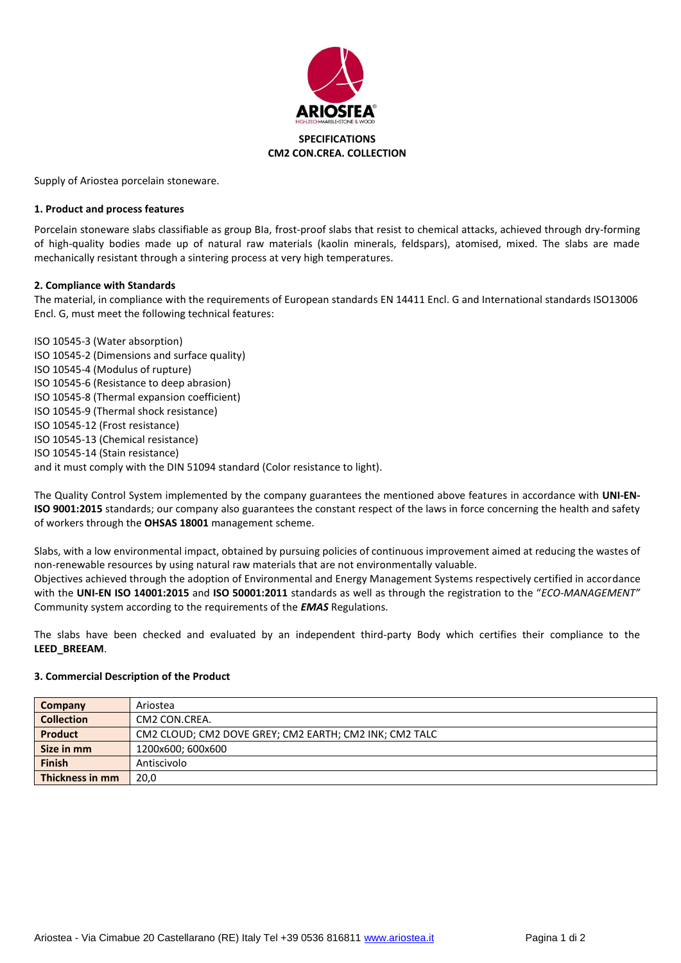

Supply of Ariostea porcelain stoneware.

### **1. Product and process features**

Porcelain stoneware slabs classifiable as group BIa, frost-proof slabs that resist to chemical attacks, achieved through dry-forming of high-quality bodies made up of natural raw materials (kaolin minerals, feldspars), atomised, mixed. The slabs are made mechanically resistant through a sintering process at very high temperatures.

### **2. Compliance with Standards**

The material, in compliance with the requirements of European standards EN 14411 Encl. G and International standards ISO13006 Encl. G, must meet the following technical features:

ISO 10545-3 (Water absorption) ISO 10545-2 (Dimensions and surface quality) ISO 10545-4 (Modulus of rupture) ISO 10545-6 (Resistance to deep abrasion) ISO 10545-8 (Thermal expansion coefficient) ISO 10545-9 (Thermal shock resistance) ISO 10545-12 (Frost resistance) ISO 10545-13 (Chemical resistance) ISO 10545-14 (Stain resistance) and it must comply with the DIN 51094 standard (Color resistance to light).

The Quality Control System implemented by the company guarantees the mentioned above features in accordance with **UNI-EN-ISO 9001:2015** standards; our company also guarantees the constant respect of the laws in force concerning the health and safety of workers through the **OHSAS 18001** management scheme.

Slabs, with a low environmental impact, obtained by pursuing policies of continuous improvement aimed at reducing the wastes of non-renewable resources by using natural raw materials that are not environmentally valuable.

Objectives achieved through the adoption of Environmental and Energy Management Systems respectively certified in accordance with the **UNI-EN ISO 14001:2015** and **ISO 50001:2011** standards as well as through the registration to the "*ECO-MANAGEMENT"* Community system according to the requirements of the *EMAS* Regulations.

The slabs have been checked and evaluated by an independent third-party Body which certifies their compliance to the **LEED\_BREEAM**.

#### **3. Commercial Description of the Product**

| Company           | Ariostea                                               |
|-------------------|--------------------------------------------------------|
| <b>Collection</b> | CM2 CON.CREA.                                          |
| <b>Product</b>    | CM2 CLOUD; CM2 DOVE GREY; CM2 EARTH; CM2 INK; CM2 TALC |
| Size in mm        | 1200x600; 600x600                                      |
| <b>Finish</b>     | Antiscivolo                                            |
| Thickness in mm   | 20,0                                                   |